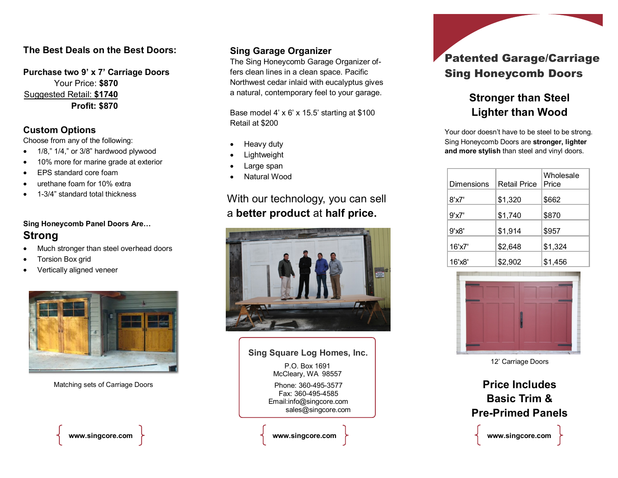### **The Best Deals on the Best Doors:**

**Purchase two 9' x 7' Carriage Doors** Your Price: **\$870** Suggested Retail: **\$1740 Profit: \$870**

#### **Custom Options**

Choose from any of the following:

- 1/8," 1/4," or 3/8" hardwood plywood
- 10% more for marine grade at exterior
- EPS standard core foam
- urethane foam for 10% extra
- 1-3/4" standard total thickness

### **Sing Honeycomb Panel Doors Are… Strong**

- Much stronger than steel overhead doors
- Torsion Box grid
- Vertically aligned veneer



Matching sets of Carriage Doors

### **Sing Garage Organizer**

The Sing Honeycomb Garage Organizer offers clean lines in a clean space. Pacific Northwest cedar inlaid with eucalyptus gives a natural, contemporary feel to your garage.

Base model 4' x 6' x 15.5' starting at \$100 Retail at \$200

- Heavy duty
- Lightweight
- Large span
- Natural Wood

With our technology, you can sell a **better product** at **half price.**



### Phone: 360-495-3577 Fax: 360-495-4585 Email:info@singcore.com sales@singcore.com P.O. Box 1691 McCleary, WA 98557 **Sing Square Log Homes, Inc. www.singcore.com www.singcore.com**

## Patented Garage/Carriage Sing Honeycomb Doors

### **Stronger than Steel Lighter than Wood**

Your door doesn't have to be steel to be strong. Sing Honeycomb Doors are **stronger, lighter and more stylish** than steel and vinyl doors.

| Dimensions              | <b>Retail Price</b> | Wholesale<br>Price |
|-------------------------|---------------------|--------------------|
| 8'x7'                   | \$1,320             | \$662              |
| 9'x7'                   | \$1,740             | \$870              |
| 9'x8'                   | \$1,914             | \$957              |
| $16'$ x $7'$            | \$2,648             | \$1,324            |
| $16'$ <sub>x</sub> $8'$ | \$2,902             | \$1,456            |



12' Carriage Doors

**Price Includes Basic Trim & Pre-Primed Panels**

**www.singcore.com**